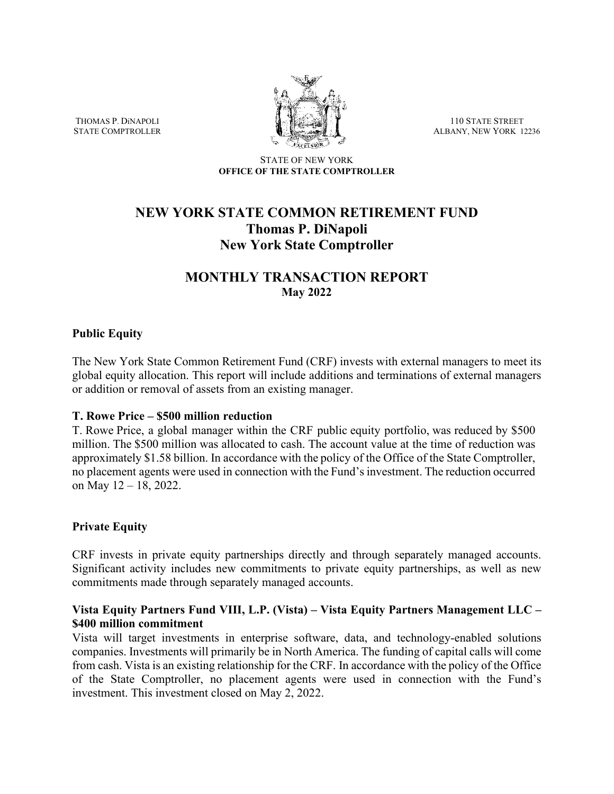THOMAS P. DiNAPOLI STATE COMPTROLLER



110 STATE STREET ALBANY, NEW YORK 12236

STATE OF NEW YORK **OFFICE OF THE STATE COMPTROLLER**

# **NEW YORK STATE COMMON RETIREMENT FUND Thomas P. DiNapoli New York State Comptroller**

## **MONTHLY TRANSACTION REPORT May 2022**

## **Public Equity**

The New York State Common Retirement Fund (CRF) invests with external managers to meet its global equity allocation. This report will include additions and terminations of external managers or addition or removal of assets from an existing manager.

#### **T. Rowe Price – \$500 million reduction**

T. Rowe Price, a global manager within the CRF public equity portfolio, was reduced by \$500 million. The \$500 million was allocated to cash. The account value at the time of reduction was approximately \$1.58 billion. In accordance with the policy of the Office of the State Comptroller, no placement agents were used in connection with the Fund's investment. The reduction occurred on May 12 – 18, 2022.

## **Private Equity**

CRF invests in private equity partnerships directly and through separately managed accounts. Significant activity includes new commitments to private equity partnerships, as well as new commitments made through separately managed accounts.

## **Vista Equity Partners Fund VIII, L.P. (Vista) – Vista Equity Partners Management LLC – \$400 million commitment**

Vista will target investments in enterprise software, data, and technology-enabled solutions companies. Investments will primarily be in North America. The funding of capital calls will come from cash. Vista is an existing relationship for the CRF. In accordance with the policy of the Office of the State Comptroller, no placement agents were used in connection with the Fund's investment. This investment closed on May 2, 2022.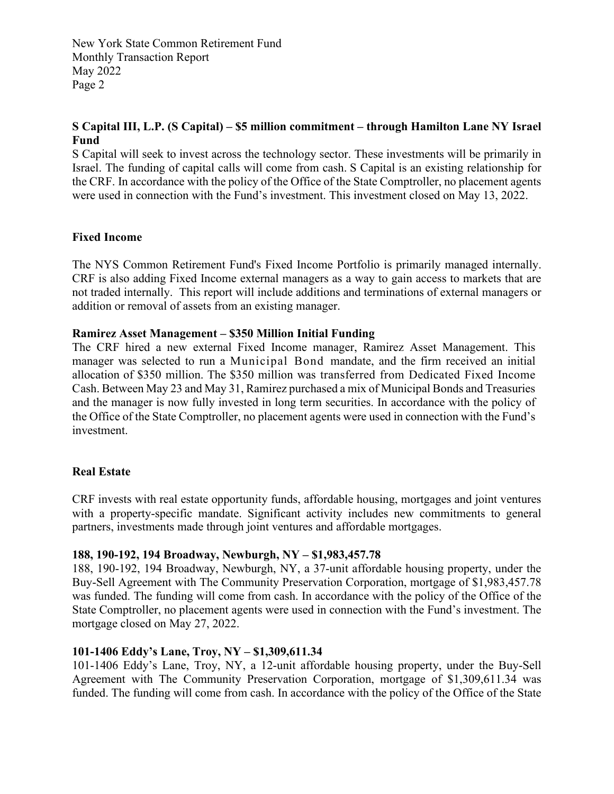New York State Common Retirement Fund Monthly Transaction Report May 2022 Page 2

## **S Capital III, L.P. (S Capital) – \$5 million commitment – through Hamilton Lane NY Israel Fund**

S Capital will seek to invest across the technology sector. These investments will be primarily in Israel. The funding of capital calls will come from cash. S Capital is an existing relationship for the CRF. In accordance with the policy of the Office of the State Comptroller, no placement agents were used in connection with the Fund's investment. This investment closed on May 13, 2022.

## **Fixed Income**

The NYS Common Retirement Fund's Fixed Income Portfolio is primarily managed internally. CRF is also adding Fixed Income external managers as a way to gain access to markets that are not traded internally. This report will include additions and terminations of external managers or addition or removal of assets from an existing manager.

#### **Ramirez Asset Management – \$350 Million Initial Funding**

The CRF hired a new external Fixed Income manager, Ramirez Asset Management. This manager was selected to run a Municipal Bond mandate, and the firm received an initial allocation of \$350 million. The \$350 million was transferred from Dedicated Fixed Income Cash. Between May 23 and May 31, Ramirez purchased a mix of Municipal Bonds and Treasuries and the manager is now fully invested in long term securities. In accordance with the policy of the Office of the State Comptroller, no placement agents were used in connection with the Fund's investment.

#### **Real Estate**

CRF invests with real estate opportunity funds, affordable housing, mortgages and joint ventures with a property-specific mandate. Significant activity includes new commitments to general partners, investments made through joint ventures and affordable mortgages.

#### **188, 190-192, 194 Broadway, Newburgh, NY – \$1,983,457.78**

188, 190-192, 194 Broadway, Newburgh, NY, a 37-unit affordable housing property, under the Buy-Sell Agreement with The Community Preservation Corporation, mortgage of \$1,983,457.78 was funded. The funding will come from cash. In accordance with the policy of the Office of the State Comptroller, no placement agents were used in connection with the Fund's investment. The mortgage closed on May 27, 2022.

## **101-1406 Eddy's Lane, Troy, NY – \$1,309,611.34**

101-1406 Eddy's Lane, Troy, NY, a 12-unit affordable housing property, under the Buy-Sell Agreement with The Community Preservation Corporation, mortgage of \$1,309,611.34 was funded. The funding will come from cash. In accordance with the policy of the Office of the State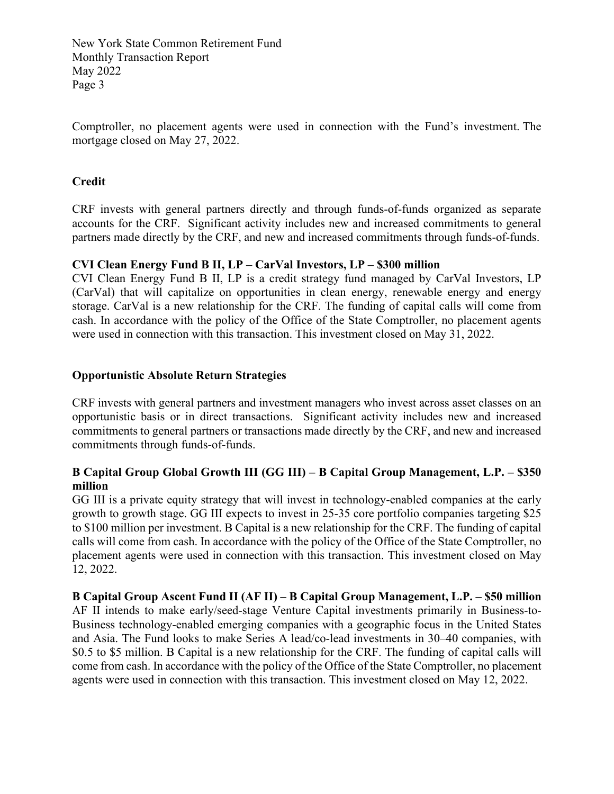New York State Common Retirement Fund Monthly Transaction Report May 2022 Page 3

Comptroller, no placement agents were used in connection with the Fund's investment. The mortgage closed on May 27, 2022.

## **Credit**

CRF invests with general partners directly and through funds-of-funds organized as separate accounts for the CRF. Significant activity includes new and increased commitments to general partners made directly by the CRF, and new and increased commitments through funds-of-funds.

#### **CVI Clean Energy Fund B II, LP – CarVal Investors, LP – \$300 million**

CVI Clean Energy Fund B II, LP is a credit strategy fund managed by CarVal Investors, LP (CarVal) that will capitalize on opportunities in clean energy, renewable energy and energy storage. CarVal is a new relationship for the CRF. The funding of capital calls will come from cash. In accordance with the policy of the Office of the State Comptroller, no placement agents were used in connection with this transaction. This investment closed on May 31, 2022.

## **Opportunistic Absolute Return Strategies**

CRF invests with general partners and investment managers who invest across asset classes on an opportunistic basis or in direct transactions. Significant activity includes new and increased commitments to general partners or transactions made directly by the CRF, and new and increased commitments through funds-of-funds.

## **B Capital Group Global Growth III (GG III) – B Capital Group Management, L.P. – \$350 million**

GG III is a private equity strategy that will invest in technology-enabled companies at the early growth to growth stage. GG III expects to invest in 25-35 core portfolio companies targeting \$25 to \$100 million per investment. B Capital is a new relationship for the CRF. The funding of capital calls will come from cash. In accordance with the policy of the Office of the State Comptroller, no placement agents were used in connection with this transaction. This investment closed on May 12, 2022.

**B Capital Group Ascent Fund II (AF II) – B Capital Group Management, L.P. – \$50 million** AF II intends to make early/seed-stage Venture Capital investments primarily in Business-to-Business technology-enabled emerging companies with a geographic focus in the United States and Asia. The Fund looks to make Series A lead/co-lead investments in 30–40 companies, with \$0.5 to \$5 million. B Capital is a new relationship for the CRF. The funding of capital calls will come from cash. In accordance with the policy of the Office of the State Comptroller, no placement agents were used in connection with this transaction. This investment closed on May 12, 2022.